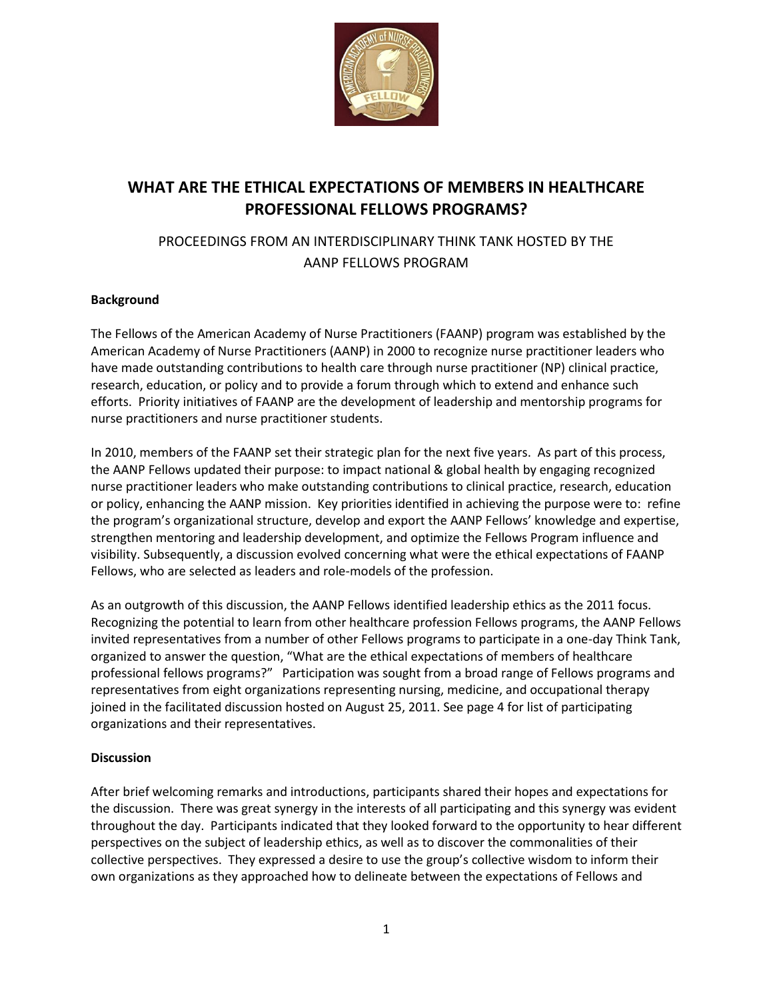

# **WHAT ARE THE ETHICAL EXPECTATIONS OF MEMBERS IN HEALTHCARE PROFESSIONAL FELLOWS PROGRAMS?**

# PROCEEDINGS FROM AN INTERDISCIPLINARY THINK TANK HOSTED BY THE AANP FELLOWS PROGRAM

## **Background**

The Fellows of the American Academy of Nurse Practitioners (FAANP) program was established by the American Academy of Nurse Practitioners (AANP) in 2000 to recognize nurse practitioner leaders who have made outstanding contributions to health care through nurse practitioner (NP) clinical practice, research, education, or policy and to provide a forum through which to extend and enhance such efforts. Priority initiatives of FAANP are the development of leadership and mentorship programs for nurse practitioners and nurse practitioner students.

In 2010, members of the FAANP set their strategic plan for the next five years. As part of this process, the AANP Fellows updated their purpose: to impact national & global health by engaging recognized nurse practitioner leaders who make outstanding contributions to clinical practice, research, education or policy, enhancing the AANP mission. Key priorities identified in achieving the purpose were to: refine the program's organizational structure, develop and export the AANP Fellows' knowledge and expertise, strengthen mentoring and leadership development, and optimize the Fellows Program influence and visibility. Subsequently, a discussion evolved concerning what were the ethical expectations of FAANP Fellows, who are selected as leaders and role-models of the profession.

As an outgrowth of this discussion, the AANP Fellows identified leadership ethics as the 2011 focus. Recognizing the potential to learn from other healthcare profession Fellows programs, the AANP Fellows invited representatives from a number of other Fellows programs to participate in a one-day Think Tank, organized to answer the question, "What are the ethical expectations of members of healthcare professional fellows programs?" Participation was sought from a broad range of Fellows programs and representatives from eight organizations representing nursing, medicine, and occupational therapy joined in the facilitated discussion hosted on August 25, 2011. See page 4 for list of participating organizations and their representatives.

### **Discussion**

After brief welcoming remarks and introductions, participants shared their hopes and expectations for the discussion. There was great synergy in the interests of all participating and this synergy was evident throughout the day. Participants indicated that they looked forward to the opportunity to hear different perspectives on the subject of leadership ethics, as well as to discover the commonalities of their collective perspectives. They expressed a desire to use the group's collective wisdom to inform their own organizations as they approached how to delineate between the expectations of Fellows and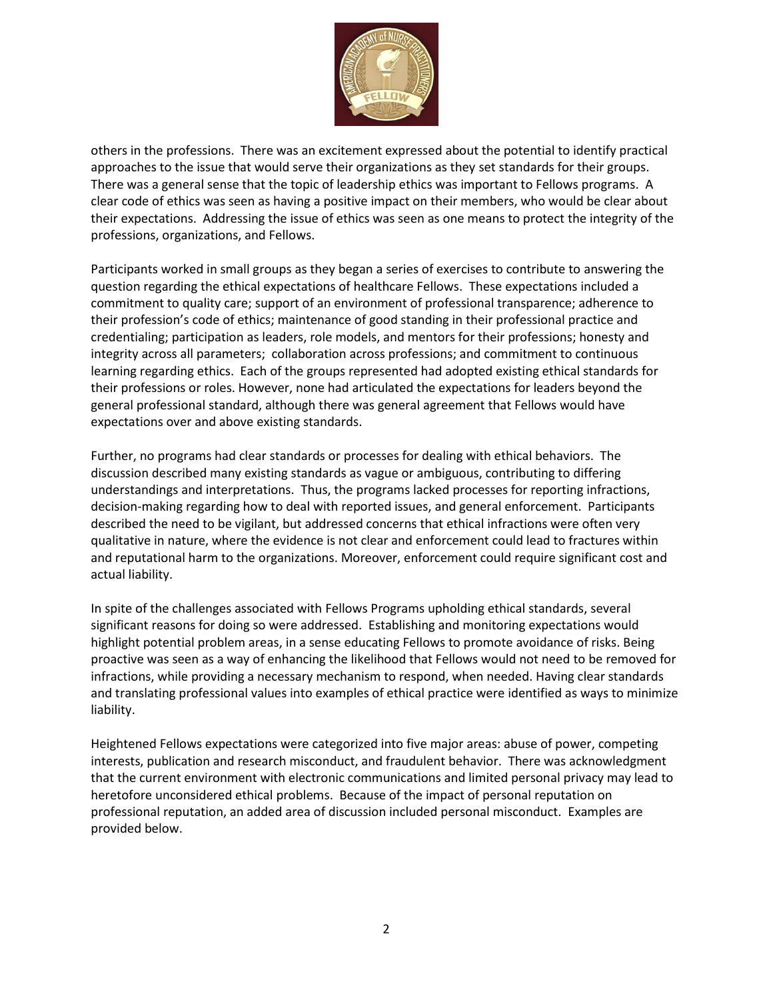

others in the professions. There was an excitement expressed about the potential to identify practical approaches to the issue that would serve their organizations as they set standards for their groups. There was a general sense that the topic of leadership ethics was important to Fellows programs. A clear code of ethics was seen as having a positive impact on their members, who would be clear about their expectations. Addressing the issue of ethics was seen as one means to protect the integrity of the professions, organizations, and Fellows.

Participants worked in small groups as they began a series of exercises to contribute to answering the question regarding the ethical expectations of healthcare Fellows. These expectations included a commitment to quality care; support of an environment of professional transparence; adherence to their profession's code of ethics; maintenance of good standing in their professional practice and credentialing; participation as leaders, role models, and mentors for their professions; honesty and integrity across all parameters; collaboration across professions; and commitment to continuous learning regarding ethics. Each of the groups represented had adopted existing ethical standards for their professions or roles. However, none had articulated the expectations for leaders beyond the general professional standard, although there was general agreement that Fellows would have expectations over and above existing standards.

Further, no programs had clear standards or processes for dealing with ethical behaviors. The discussion described many existing standards as vague or ambiguous, contributing to differing understandings and interpretations. Thus, the programs lacked processes for reporting infractions, decision-making regarding how to deal with reported issues, and general enforcement. Participants described the need to be vigilant, but addressed concerns that ethical infractions were often very qualitative in nature, where the evidence is not clear and enforcement could lead to fractures within and reputational harm to the organizations. Moreover, enforcement could require significant cost and actual liability.

In spite of the challenges associated with Fellows Programs upholding ethical standards, several significant reasons for doing so were addressed. Establishing and monitoring expectations would highlight potential problem areas, in a sense educating Fellows to promote avoidance of risks. Being proactive was seen as a way of enhancing the likelihood that Fellows would not need to be removed for infractions, while providing a necessary mechanism to respond, when needed. Having clear standards and translating professional values into examples of ethical practice were identified as ways to minimize liability.

Heightened Fellows expectations were categorized into five major areas: abuse of power, competing interests, publication and research misconduct, and fraudulent behavior. There was acknowledgment that the current environment with electronic communications and limited personal privacy may lead to heretofore unconsidered ethical problems. Because of the impact of personal reputation on professional reputation, an added area of discussion included personal misconduct. Examples are provided below.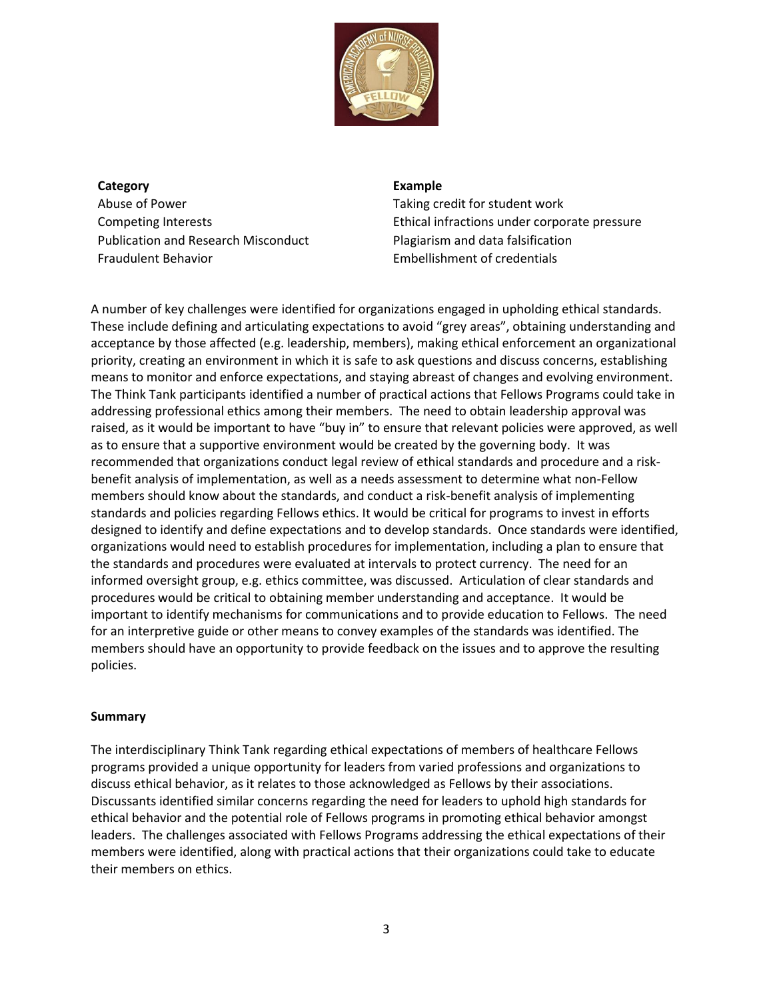

**Category Example** Abuse of Power Taking credit for student work Publication and Research Misconduct Plagiarism and data falsification Fraudulent Behavior Embellishment of credentials

Competing Interests Ethical infractions under corporate pressure

A number of key challenges were identified for organizations engaged in upholding ethical standards. These include defining and articulating expectations to avoid "grey areas", obtaining understanding and acceptance by those affected (e.g. leadership, members), making ethical enforcement an organizational priority, creating an environment in which it is safe to ask questions and discuss concerns, establishing means to monitor and enforce expectations, and staying abreast of changes and evolving environment. The Think Tank participants identified a number of practical actions that Fellows Programs could take in addressing professional ethics among their members. The need to obtain leadership approval was raised, as it would be important to have "buy in" to ensure that relevant policies were approved, as well as to ensure that a supportive environment would be created by the governing body. It was recommended that organizations conduct legal review of ethical standards and procedure and a riskbenefit analysis of implementation, as well as a needs assessment to determine what non-Fellow members should know about the standards, and conduct a risk-benefit analysis of implementing standards and policies regarding Fellows ethics. It would be critical for programs to invest in efforts designed to identify and define expectations and to develop standards. Once standards were identified, organizations would need to establish procedures for implementation, including a plan to ensure that the standards and procedures were evaluated at intervals to protect currency. The need for an informed oversight group, e.g. ethics committee, was discussed. Articulation of clear standards and procedures would be critical to obtaining member understanding and acceptance. It would be important to identify mechanisms for communications and to provide education to Fellows. The need for an interpretive guide or other means to convey examples of the standards was identified. The members should have an opportunity to provide feedback on the issues and to approve the resulting policies.

### **Summary**

The interdisciplinary Think Tank regarding ethical expectations of members of healthcare Fellows programs provided a unique opportunity for leaders from varied professions and organizations to discuss ethical behavior, as it relates to those acknowledged as Fellows by their associations. Discussants identified similar concerns regarding the need for leaders to uphold high standards for ethical behavior and the potential role of Fellows programs in promoting ethical behavior amongst leaders. The challenges associated with Fellows Programs addressing the ethical expectations of their members were identified, along with practical actions that their organizations could take to educate their members on ethics.